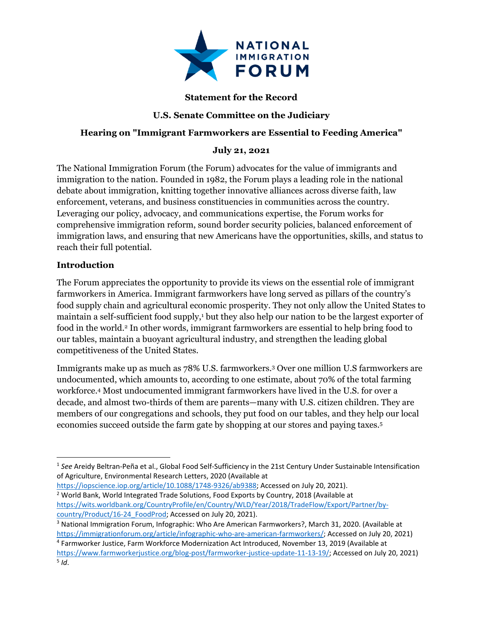

# **Statement for the Record**

# **U.S. Senate Committee on the Judiciary**

#### **Hearing on "Immigrant Farmworkers are Essential to Feeding America"**

#### **July 21, 2021**

The National Immigration Forum (the Forum) advocates for the value of immigrants and immigration to the nation. Founded in 1982, the Forum plays a leading role in the national debate about immigration, knitting together innovative alliances across diverse faith, law enforcement, veterans, and business constituencies in communities across the country. Leveraging our policy, advocacy, and communications expertise, the Forum works for comprehensive immigration reform, sound border security policies, balanced enforcement of immigration laws, and ensuring that new Americans have the opportunities, skills, and status to reach their full potential.

#### **Introduction**

The Forum appreciates the opportunity to provide its views on the essential role of immigrant farmworkers in America. Immigrant farmworkers have long served as pillars of the country's food supply chain and agricultural economic prosperity. They not only allow the United States to maintain a self-sufficient food supply,<sup>1</sup> but they also help our nation to be the largest exporter of food in the world.<sup>2</sup> In other words, immigrant farmworkers are essential to help bring food to our tables, maintain a buoyant agricultural industry, and strengthen the leading global competitiveness of the United States.

Immigrants make up as much as 78% U.S. farmworkers.<sup>3</sup> Over one million U.S farmworkers are undocumented, which amounts to, according to one estimate, about 70% of the total farming workforce.<sup>4</sup> Most undocumented immigrant farmworkers have lived in the U.S. for over a decade, and almost two-thirds of them are parents—many with U.S. citizen children. They are members of our congregations and schools, they put food on our tables, and they help our local economies succeed outside the farm gate by shopping at our stores and paying taxes. 5

<sup>1</sup> *See* Areidy Beltran-Peña et al., Global Food Self-Sufficiency in the 21st Century Under Sustainable Intensification of Agriculture, Environmental Research Letters, 2020 (Available at

[https://iopscience.iop.org/article/10.1088/1748-9326/ab9388;](https://iopscience.iop.org/article/10.1088/1748-9326/ab9388) Accessed on July 20, 2021). <sup>2</sup> World Bank, World Integrated Trade Solutions, Food Exports by Country, 2018 (Available at [https://wits.worldbank.org/CountryProfile/en/Country/WLD/Year/2018/TradeFlow/Export/Partner/by](https://wits.worldbank.org/CountryProfile/en/Country/WLD/Year/2018/TradeFlow/Export/Partner/by-country/Product/16-24_FoodProd)[country/Product/16-24\\_FoodProd;](https://wits.worldbank.org/CountryProfile/en/Country/WLD/Year/2018/TradeFlow/Export/Partner/by-country/Product/16-24_FoodProd) Accessed on July 20, 2021).

<sup>3</sup> National Immigration Forum, Infographic: Who Are American Farmworkers?, March 31, 2020. (Available at [https://immigrationforum.org/article/infographic-who-are-american-farmworkers/;](https://immigrationforum.org/article/infographic-who-are-american-farmworkers/) Accessed on July 20, 2021)

<sup>4</sup> Farmworker Justice, Farm Workforce Modernization Act Introduced, November 13, 2019 (Available at [https://www.farmworkerjustice.org/blog-post/farmworker-justice-update-11-13-19/;](https://www.farmworkerjustice.org/blog-post/farmworker-justice-update-11-13-19/) Accessed on July 20, 2021) 5 *Id*.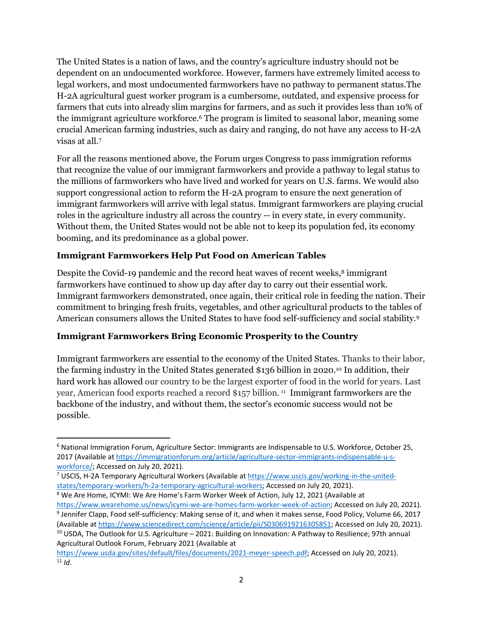The United States is a nation of laws, and the country's agriculture industry should not be dependent on an undocumented workforce. However, farmers have extremely limited access to legal workers, and most undocumented farmworkers have no pathway to permanent status.The H-2A agricultural guest worker program is a cumbersome, outdated, and expensive process for farmers that cuts into already slim margins for farmers, and as such it provides less than 10% of the immigrant agriculture workforce. <sup>6</sup> The program is limited to seasonal labor, meaning some crucial American farming industries, such as dairy and ranging, do not have any access to H-2A visas at all.<sup>7</sup>

For all the reasons mentioned above, the Forum urges Congress to pass immigration reforms that recognize the value of our immigrant farmworkers and provide a pathway to legal status to the millions of farmworkers who have lived and worked for years on U.S. farms. We would also support congressional action to reform the H-2A program to ensure the next generation of immigrant farmworkers will arrive with legal status. Immigrant farmworkers are playing crucial roles in the agriculture industry all across the country -- in every state, in every community. Without them, the United States would not be able not to keep its population fed, its economy booming, and its predominance as a global power.

# **Immigrant Farmworkers Help Put Food on American Tables**

Despite the Covid-19 pandemic and the record heat waves of recent weeks, $8 \text{ immigrant}$ farmworkers have continued to show up day after day to carry out their essential work. Immigrant farmworkers demonstrated, once again, their critical role in feeding the nation. Their commitment to bringing fresh fruits, vegetables, and other agricultural products to the tables of American consumers allows the United States to have food self-sufficiency and social stability.<sup>9</sup>

## **Immigrant Farmworkers Bring Economic Prosperity to the Country**

Immigrant farmworkers are essential to the economy of the United States. Thanks to their labor, the farming industry in the United States generated \$136 billion in 2020.<sup>10</sup> In addition, their hard work has allowed our country to be the largest exporter of food in the world for years. Last year, American food exports reached a record \$157 billion. <sup>11</sup> Immigrant farmworkers are the backbone of the industry, and without them, the sector's economic success would not be possible.

<sup>6</sup> National Immigration Forum, Agriculture Sector: Immigrants are Indispensable to U.S. Workforce, October 25, 2017 (Available a[t https://immigrationforum.org/article/agriculture-sector-immigrants-indispensable-u-s](https://immigrationforum.org/article/agriculture-sector-immigrants-indispensable-u-s-workforce/)[workforce/;](https://immigrationforum.org/article/agriculture-sector-immigrants-indispensable-u-s-workforce/) Accessed on July 20, 2021).

<sup>7</sup> USCIS, H-2A Temporary Agricultural Workers (Available at [https://www.uscis.gov/working-in-the-united](https://www.uscis.gov/working-in-the-united-states/temporary-workers/h-2a-temporary-agricultural-workers)[states/temporary-workers/h-2a-temporary-agricultural-workers;](https://www.uscis.gov/working-in-the-united-states/temporary-workers/h-2a-temporary-agricultural-workers) Accessed on July 20, 2021).

<sup>8</sup> We Are Home, ICYMI: We Are Home's Farm Worker Week of Action, July 12, 2021 (Available at [https://www.wearehome.us/news/icymi-we-are-homes-farm-worker-week-of-action;](https://www.wearehome.us/news/icymi-we-are-homes-farm-worker-week-of-action) Accessed on July 20, 2021). <sup>9</sup> Jennifer Clapp, Food self-sufficiency: Making sense of it, and when it makes sense, Food Policy, Volume 66, 2017

<sup>(</sup>Available a[t https://www.sciencedirect.com/science/article/pii/S0306919216305851;](https://www.sciencedirect.com/science/article/pii/S0306919216305851) Accessed on July 20, 2021). <sup>10</sup> USDA, The Outlook for U.S. Agriculture – 2021: Building on Innovation: A Pathway to Resilience; 97th annual Agricultural Outlook Forum, February 2021 (Available at

[https://www.usda.gov/sites/default/files/documents/2021-meyer-speech.pdf;](https://www.usda.gov/sites/default/files/documents/2021-meyer-speech.pdf) Accessed on July 20, 2021).  $11$  *Id.*